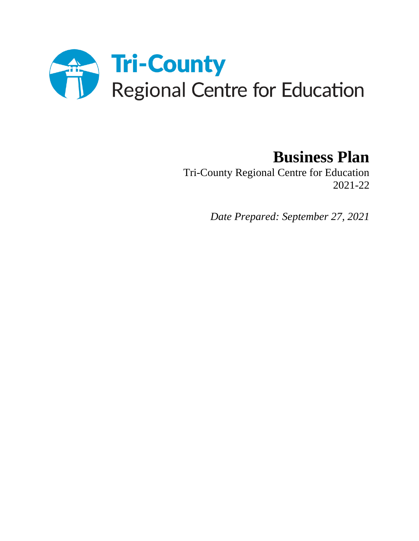

# **Business Plan**

Tri-County Regional Centre for Education 2021-22

*Date Prepared: September 27, 2021*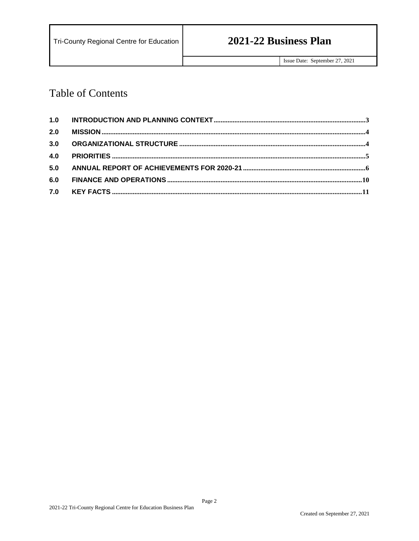# **Table of Contents**

| 2.0 |  |
|-----|--|
| 3.0 |  |
| 4.0 |  |
| 5.0 |  |
| 6.0 |  |
| 7.0 |  |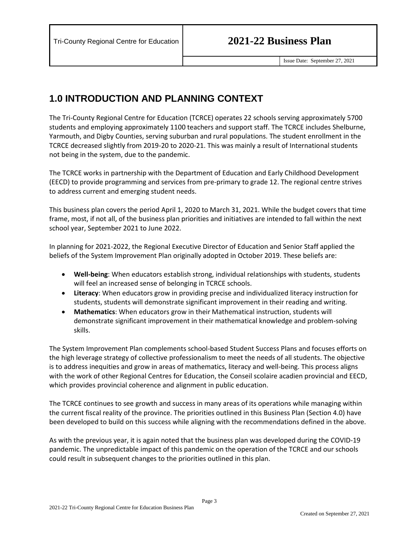## <span id="page-2-0"></span>**1.0 INTRODUCTION AND PLANNING CONTEXT**

The Tri-County Regional Centre for Education (TCRCE) operates 22 schools serving approximately 5700 students and employing approximately 1100 teachers and support staff. The TCRCE includes Shelburne, Yarmouth, and Digby Counties, serving suburban and rural populations. The student enrollment in the TCRCE decreased slightly from 2019-20 to 2020-21. This was mainly a result of International students not being in the system, due to the pandemic.

The TCRCE works in partnership with the Department of Education and Early Childhood Development (EECD) to provide programming and services from pre-primary to grade 12. The regional centre strives to address current and emerging student needs.

This business plan covers the period April 1, 2020 to March 31, 2021. While the budget covers that time frame, most, if not all, of the business plan priorities and initiatives are intended to fall within the next school year, September 2021 to June 2022.

In planning for 2021-2022, the Regional Executive Director of Education and Senior Staff applied the beliefs of the System Improvement Plan originally adopted in October 2019. These beliefs are:

- **Well-being**: When educators establish strong, individual relationships with students, students will feel an increased sense of belonging in TCRCE schools.
- **Literacy**: When educators grow in providing precise and individualized literacy instruction for students, students will demonstrate significant improvement in their reading and writing.
- **Mathematics**: When educators grow in their Mathematical instruction, students will demonstrate significant improvement in their mathematical knowledge and problem-solving skills.

The System Improvement Plan complements school-based Student Success Plans and focuses efforts on the high leverage strategy of collective professionalism to meet the needs of all students. The objective is to address inequities and grow in areas of mathematics, literacy and well-being. This process aligns with the work of other Regional Centres for Education, the Conseil scolaire acadien provincial and EECD, which provides provincial coherence and alignment in public education.

The TCRCE continues to see growth and success in many areas of its operations while managing within the current fiscal reality of the province. The priorities outlined in this Business Plan (Section 4.0) have been developed to build on this success while aligning with the recommendations defined in the above.

As with the previous year, it is again noted that the business plan was developed during the COVID-19 pandemic. The unpredictable impact of this pandemic on the operation of the TCRCE and our schools could result in subsequent changes to the priorities outlined in this plan.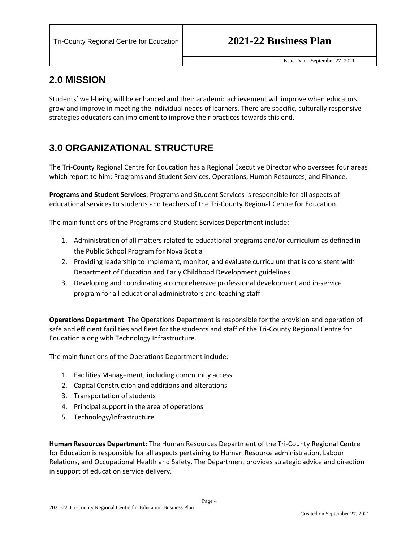### <span id="page-3-0"></span>**2.0 MISSION**

Students' well-being will be enhanced and their academic achievement will improve when educators grow and improve in meeting the individual needs of learners. There are specific, culturally responsive strategies educators can implement to improve their practices towards this end.

## <span id="page-3-1"></span>**3.0 ORGANIZATIONAL STRUCTURE**

The Tri-County Regional Centre for Education has a Regional Executive Director who oversees four areas which report to him: Programs and Student Services, Operations, Human Resources, and Finance.

**Programs and Student Services**: Programs and Student Services is responsible for all aspects of educational services to students and teachers of the Tri-County Regional Centre for Education.

The main functions of the Programs and Student Services Department include:

- 1. Administration of all matters related to educational programs and/or curriculum as defined in the Public School Program for Nova Scotia
- 2. Providing leadership to implement, monitor, and evaluate curriculum that is consistent with Department of Education and Early Childhood Development guidelines
- 3. Developing and coordinating a comprehensive professional development and in-service program for all educational administrators and teaching staff

**Operations Department**: The Operations Department is responsible for the provision and operation of safe and efficient facilities and fleet for the students and staff of the Tri-County Regional Centre for Education along with Technology Infrastructure.

The main functions of the Operations Department include:

- 1. Facilities Management, including community access
- 2. Capital Construction and additions and alterations
- 3. Transportation of students
- 4. Principal support in the area of operations
- 5. Technology/Infrastructure

**Human Resources Department**: The Human Resources Department of the Tri-County Regional Centre for Education is responsible for all aspects pertaining to Human Resource administration, Labour Relations, and Occupational Health and Safety. The Department provides strategic advice and direction in support of education service delivery.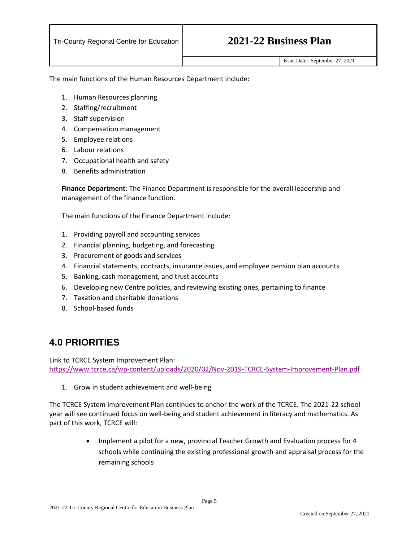The main functions of the Human Resources Department include:

- 1. Human Resources planning
- 2. Staffing/recruitment
- 3. Staff supervision
- 4. Compensation management
- 5. Employee relations
- 6. Labour relations
- 7. Occupational health and safety
- 8. Benefits administration

**Finance Department**: The Finance Department is responsible for the overall leadership and management of the finance function.

The main functions of the Finance Department include:

- 1. Providing payroll and accounting services
- 2. Financial planning, budgeting, and forecasting
- 3. Procurement of goods and services
- 4. Financial statements, contracts, insurance issues, and employee pension plan accounts
- 5. Banking, cash management, and trust accounts
- 6. Developing new Centre policies, and reviewing existing ones, pertaining to finance
- 7. Taxation and charitable donations
- 8. School-based funds

## <span id="page-4-0"></span>**4.0 PRIORITIES**

Link to TCRCE System Improvement Plan: <https://www.tcrce.ca/wp-content/uploads/2020/02/Nov-2019-TCRCE-System-Improvement-Plan.pdf>

1. Grow in student achievement and well-being

The TCRCE System Improvement Plan continues to anchor the work of the TCRCE. The 2021-22 school year will see continued focus on well-being and student achievement in literacy and mathematics. As part of this work, TCRCE will:

> • Implement a pilot for a new, provincial Teacher Growth and Evaluation process for 4 schools while continuing the existing professional growth and appraisal process for the remaining schools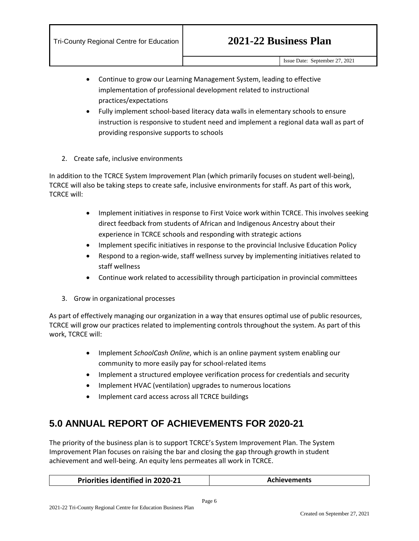- Continue to grow our Learning Management System, leading to effective implementation of professional development related to instructional practices/expectations
- Fully implement school-based literacy data walls in elementary schools to ensure instruction is responsive to student need and implement a regional data wall as part of providing responsive supports to schools
- 2. Create safe, inclusive environments

In addition to the TCRCE System Improvement Plan (which primarily focuses on student well-being), TCRCE will also be taking steps to create safe, inclusive environments for staff. As part of this work, TCRCE will:

- Implement initiatives in response to First Voice work within TCRCE. This involves seeking direct feedback from students of African and Indigenous Ancestry about their experience in TCRCE schools and responding with strategic actions
- Implement specific initiatives in response to the provincial Inclusive Education Policy
- Respond to a region-wide, staff wellness survey by implementing initiatives related to staff wellness
- Continue work related to accessibility through participation in provincial committees
- 3. Grow in organizational processes

As part of effectively managing our organization in a way that ensures optimal use of public resources, TCRCE will grow our practices related to implementing controls throughout the system. As part of this work, TCRCE will:

- Implement *SchoolCash Online*, which is an online payment system enabling our community to more easily pay for school-related items
- Implement a structured employee verification process for credentials and security
- Implement HVAC (ventilation) upgrades to numerous locations
- Implement card access across all TCRCE buildings

## <span id="page-5-0"></span>**5.0 ANNUAL REPORT OF ACHIEVEMENTS FOR 2020-21**

The priority of the business plan is to support TCRCE's System Improvement Plan. The System Improvement Plan focuses on raising the bar and closing the gap through growth in student achievement and well-being. An equity lens permeates all work in TCRCE.

| <b>Priorities identified in 2020-21</b> | <b>Achievements</b> |
|-----------------------------------------|---------------------|
|-----------------------------------------|---------------------|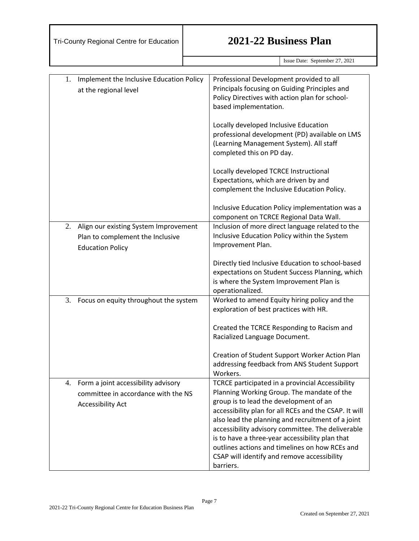Issue Date: September 27, 2021

| 1. | Implement the Inclusive Education Policy | Professional Development provided to all                |
|----|------------------------------------------|---------------------------------------------------------|
|    | at the regional level                    | Principals focusing on Guiding Principles and           |
|    |                                          | Policy Directives with action plan for school-          |
|    |                                          | based implementation.                                   |
|    |                                          |                                                         |
|    |                                          | Locally developed Inclusive Education                   |
|    |                                          | professional development (PD) available on LMS          |
|    |                                          | (Learning Management System). All staff                 |
|    |                                          | completed this on PD day.                               |
|    |                                          |                                                         |
|    |                                          | Locally developed TCRCE Instructional                   |
|    |                                          | Expectations, which are driven by and                   |
|    |                                          | complement the Inclusive Education Policy.              |
|    |                                          |                                                         |
|    |                                          | Inclusive Education Policy implementation was a         |
|    |                                          | component on TCRCE Regional Data Wall.                  |
| 2. | Align our existing System Improvement    | Inclusion of more direct language related to the        |
|    | Plan to complement the Inclusive         | Inclusive Education Policy within the System            |
|    | <b>Education Policy</b>                  | Improvement Plan.                                       |
|    |                                          |                                                         |
|    |                                          | Directly tied Inclusive Education to school-based       |
|    |                                          | expectations on Student Success Planning, which         |
|    |                                          | is where the System Improvement Plan is                 |
|    |                                          | operationalized.                                        |
| 3. | Focus on equity throughout the system    | Worked to amend Equity hiring policy and the            |
|    |                                          | exploration of best practices with HR.                  |
|    |                                          |                                                         |
|    |                                          | Created the TCRCE Responding to Racism and              |
|    |                                          | Racialized Language Document.                           |
|    |                                          |                                                         |
|    |                                          | Creation of Student Support Worker Action Plan          |
|    |                                          | addressing feedback from ANS Student Support            |
|    |                                          | Workers.                                                |
|    | 4. Form a joint accessibility advisory   | <b>TCRCE participated in a provincial Accessibility</b> |
|    | committee in accordance with the NS      | Planning Working Group. The mandate of the              |
|    |                                          | group is to lead the development of an                  |
|    | <b>Accessibility Act</b>                 | accessibility plan for all RCEs and the CSAP. It will   |
|    |                                          | also lead the planning and recruitment of a joint       |
|    |                                          | accessibility advisory committee. The deliverable       |
|    |                                          | is to have a three-year accessibility plan that         |
|    |                                          | outlines actions and timelines on how RCEs and          |
|    |                                          | CSAP will identify and remove accessibility             |
|    |                                          | barriers.                                               |
|    |                                          |                                                         |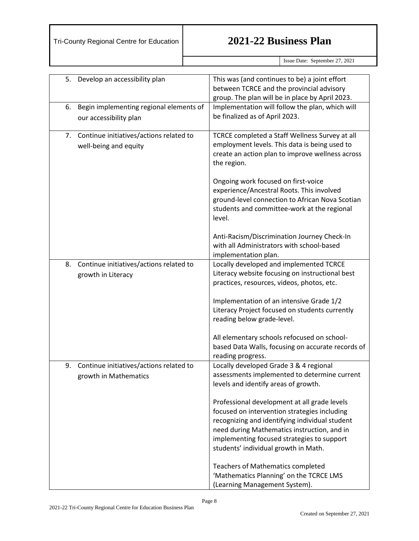Issue Date: September 27, 2021

| 5. | Develop an accessibility plan                                     | This was (and continues to be) a joint effort<br>between TCRCE and the provincial advisory<br>group. The plan will be in place by April 2023.                                                                                                                                       |  |
|----|-------------------------------------------------------------------|-------------------------------------------------------------------------------------------------------------------------------------------------------------------------------------------------------------------------------------------------------------------------------------|--|
| 6. | Begin implementing regional elements of<br>our accessibility plan | Implementation will follow the plan, which will<br>be finalized as of April 2023.                                                                                                                                                                                                   |  |
| 7. | Continue initiatives/actions related to<br>well-being and equity  | TCRCE completed a Staff Wellness Survey at all<br>employment levels. This data is being used to<br>create an action plan to improve wellness across<br>the region.                                                                                                                  |  |
|    |                                                                   | Ongoing work focused on first-voice<br>experience/Ancestral Roots. This involved<br>ground-level connection to African Nova Scotian<br>students and committee-work at the regional<br>level.                                                                                        |  |
|    |                                                                   | Anti-Racism/Discrimination Journey Check-In<br>with all Administrators with school-based<br>implementation plan.                                                                                                                                                                    |  |
| 8. | Continue initiatives/actions related to<br>growth in Literacy     | Locally developed and implemented TCRCE<br>Literacy website focusing on instructional best<br>practices, resources, videos, photos, etc.                                                                                                                                            |  |
|    |                                                                   | Implementation of an intensive Grade 1/2<br>Literacy Project focused on students currently<br>reading below grade-level.                                                                                                                                                            |  |
|    |                                                                   | All elementary schools refocused on school-<br>based Data Walls, focusing on accurate records of<br>reading progress.                                                                                                                                                               |  |
| 9. | Continue initiatives/actions related to<br>growth in Mathematics  | Locally developed Grade 3 & 4 regional<br>assessments implemented to determine current<br>levels and identify areas of growth.                                                                                                                                                      |  |
|    |                                                                   | Professional development at all grade levels<br>focused on intervention strategies including<br>recognizing and identifying individual student<br>need during Mathematics instruction, and in<br>implementing focused strategies to support<br>students' individual growth in Math. |  |
|    |                                                                   | <b>Teachers of Mathematics completed</b><br>'Mathematics Planning' on the TCRCE LMS<br>(Learning Management System).                                                                                                                                                                |  |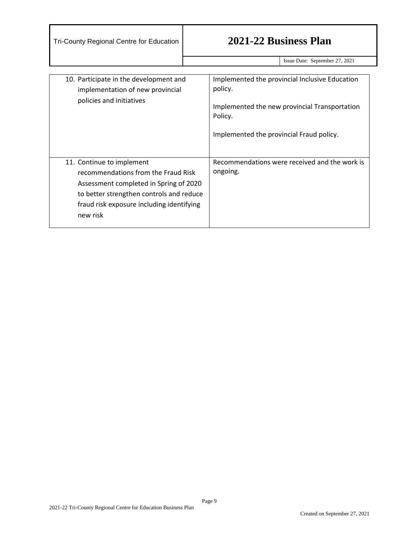Issue Date: September 27, 2021

<span id="page-8-0"></span>

| 10. Participate in the development and<br>implementation of new provincial<br>policies and initiatives                                                                                                          | Implemented the provincial Inclusive Education<br>policy.<br>Implemented the new provincial Transportation<br>Policy.<br>Implemented the provincial Fraud policy. |
|-----------------------------------------------------------------------------------------------------------------------------------------------------------------------------------------------------------------|-------------------------------------------------------------------------------------------------------------------------------------------------------------------|
| 11. Continue to implement<br>recommendations from the Fraud Risk<br>Assessment completed in Spring of 2020<br>to better strengthen controls and reduce<br>fraud risk exposure including identifying<br>new risk | Recommendations were received and the work is<br>ongoing.                                                                                                         |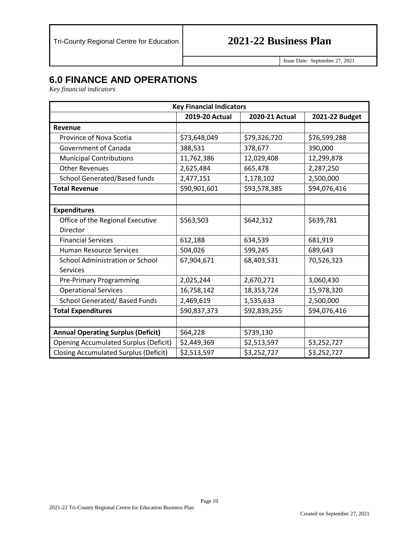Issue Date: September 27, 2021

## **6.0 FINANCE AND OPERATIONS**

*Key financial indicators* 

| <b>Key Financial Indicators</b>              |                       |                |                |
|----------------------------------------------|-----------------------|----------------|----------------|
|                                              | <b>2019-20 Actual</b> | 2020-21 Actual | 2021-22 Budget |
| Revenue                                      |                       |                |                |
| Province of Nova Scotia                      | \$73,648,049          | \$79,326,720   | \$76,599,288   |
| Government of Canada                         | 388,531               | 378,677        | 390,000        |
| <b>Municipal Contributions</b>               | 11,762,386            | 12,029,408     | 12,299,878     |
| <b>Other Revenues</b>                        | 2,625,484             | 665,478        | 2,287,250      |
| School Generated/Based funds                 | 2,477,151             | 1,178,102      | 2,500,000      |
| <b>Total Revenue</b>                         | \$90,901,601          | \$93,578,385   | \$94,076,416   |
|                                              |                       |                |                |
| <b>Expenditures</b>                          |                       |                |                |
| Office of the Regional Executive             | \$563,503             | \$642,312      | \$639,781      |
| Director                                     |                       |                |                |
| <b>Financial Services</b>                    | 612,188               | 634,539        | 681,919        |
| <b>Human Resource Services</b>               | 504,026               | 599,245        | 689,643        |
| School Administration or School              | 67,904,671            | 68,403,531     | 70,526,323     |
| Services                                     |                       |                |                |
| <b>Pre-Primary Programming</b>               | 2,025,244             | 2,670,271      | 3,060,430      |
| <b>Operational Services</b>                  | 16,758,142            | 18,353,724     | 15,978,320     |
| School Generated/ Based Funds                | 2,469,619             | 1,535,633      | 2,500,000      |
| <b>Total Expenditures</b>                    | \$90,837,373          | \$92,839,255   | \$94,076,416   |
|                                              |                       |                |                |
| <b>Annual Operating Surplus (Deficit)</b>    | \$64,228              | \$739,130      |                |
| <b>Opening Accumulated Surplus (Deficit)</b> | \$2,449,369           | \$2,513,597    | \$3,252,727    |
| <b>Closing Accumulated Surplus (Deficit)</b> | \$2,513,597           | \$3,252,727    | \$3,252,727    |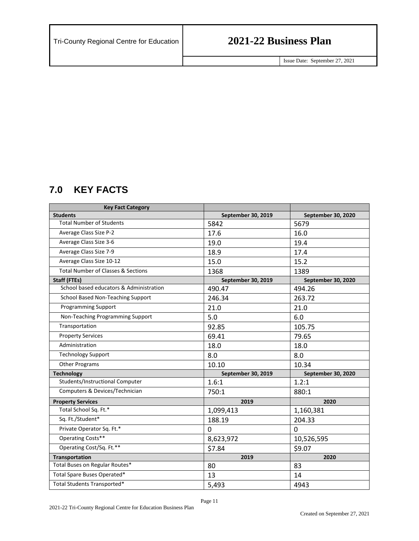Issue Date: September 27, 2021

## <span id="page-10-0"></span>**7.0 KEY FACTS**

| <b>Key Fact Category</b>                      |                    |                           |
|-----------------------------------------------|--------------------|---------------------------|
| <b>Students</b>                               | September 30, 2019 | September 30, 2020        |
| <b>Total Number of Students</b>               | 5842               | 5679                      |
| Average Class Size P-2                        | 17.6               | 16.0                      |
| Average Class Size 3-6                        | 19.0               | 19.4                      |
| Average Class Size 7-9                        | 18.9               | 17.4                      |
| Average Class Size 10-12                      | 15.0               | 15.2                      |
| <b>Total Number of Classes &amp; Sections</b> | 1368               | 1389                      |
| <b>Staff (FTEs)</b>                           | September 30, 2019 | September 30, 2020        |
| School based educators & Administration       | 490.47             | 494.26                    |
| School Based Non-Teaching Support             | 246.34             | 263.72                    |
| <b>Programming Support</b>                    | 21.0               | 21.0                      |
| Non-Teaching Programming Support              | 5.0                | 6.0                       |
| Transportation                                | 92.85              | 105.75                    |
| <b>Property Services</b>                      | 69.41              | 79.65                     |
| Administration                                | 18.0               | 18.0                      |
| <b>Technology Support</b>                     | 8.0                | 8.0                       |
| <b>Other Programs</b>                         | 10.10              | 10.34                     |
| <b>Technology</b>                             | September 30, 2019 | <b>September 30, 2020</b> |
| Students/Instructional Computer               | 1.6:1              | 1.2:1                     |
| Computers & Devices/Technician                | 750:1              | 880:1                     |
| <b>Property Services</b>                      | 2019               | 2020                      |
| Total School Sq. Ft.*                         | 1,099,413          | 1,160,381                 |
| Sq. Ft./Student*                              | 188.19             | 204.33                    |
| Private Operator Sq. Ft.*                     | $\mathbf{0}$       | $\mathbf{0}$              |
| Operating Costs**                             | 8,623,972          | 10,526,595                |
| Operating Cost/Sq. Ft.**                      | \$7.84             | \$9.07                    |
| <b>Transportation</b>                         | 2019               | 2020                      |
| Total Buses on Regular Routes*                | 80                 | 83                        |
| Total Spare Buses Operated*                   | 13                 | 14                        |
| Total Students Transported*                   | 5,493              | 4943                      |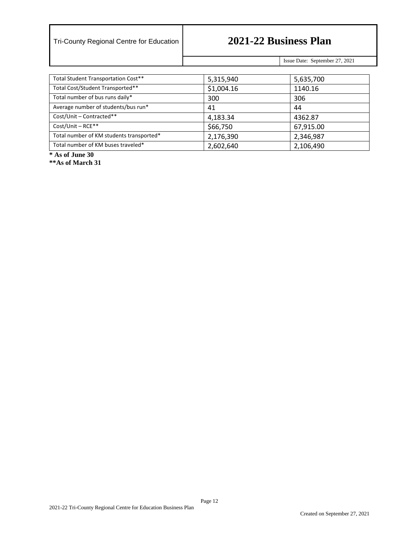Issue Date: September 27, 2021

| Total Student Transportation Cost**      | 5,315,940  | 5,635,700 |
|------------------------------------------|------------|-----------|
| Total Cost/Student Transported**         | \$1,004.16 | 1140.16   |
| Total number of bus runs daily*          | 300        | 306       |
| Average number of students/bus run*      | 41         | 44        |
| Cost/Unit - Contracted**                 | 4,183.34   | 4362.87   |
| Cost/Unit - RCE**                        | \$66,750   | 67,915.00 |
| Total number of KM students transported* | 2,176,390  | 2,346,987 |
| Total number of KM buses traveled*       | 2,602,640  | 2,106,490 |

**\* As of June 30**

**\*\*As of March 31**